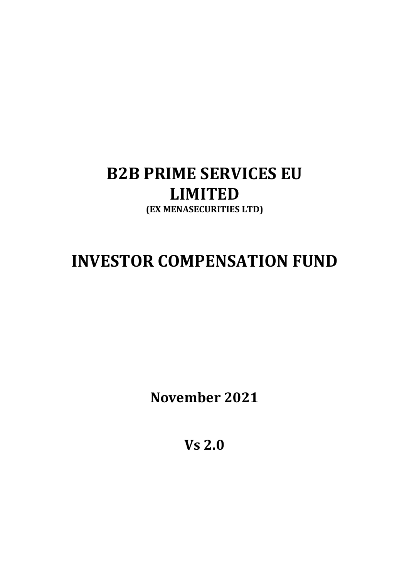## B2B PRIME SERVICES EU LIMITED (EX MENASECURITIES LTD)

# INVESTOR COMPENSATION FUND

November 2021

Vs 2.0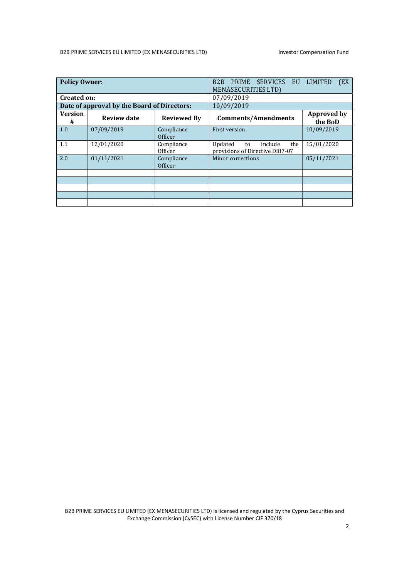#### B2B PRIME SERVICES EU LIMITED (EX MENASECURITIES LTD) lnvestor Compensation Fund

| <b>Policy Owner:</b>                        |                    |                       | <b>PRIME</b><br><b>SERVICES</b><br>B <sub>2</sub> B<br>EU<br>MENASECURITIES LTD) | <b>LIMITED</b><br>(EX)        |
|---------------------------------------------|--------------------|-----------------------|----------------------------------------------------------------------------------|-------------------------------|
| <b>Created on:</b>                          |                    |                       | 07/09/2019                                                                       |                               |
| Date of approval by the Board of Directors: |                    |                       | 10/09/2019                                                                       |                               |
| <b>Version</b><br>#                         | <b>Review date</b> | <b>Reviewed By</b>    | <b>Comments/Amendments</b>                                                       | <b>Approved by</b><br>the BoD |
| 1.0                                         | 07/09/2019         | Compliance<br>Officer | First version                                                                    | 10/09/2019                    |
| 1.1                                         | 12/01/2020         | Compliance<br>Officer | Updated<br>include<br>the<br>to<br>provisions of Directive DI87-07               | 15/01/2020                    |
| 2.0                                         | 01/11/2021         | Compliance<br>Officer | Minor corrections                                                                | 05/11/2021                    |
|                                             |                    |                       |                                                                                  |                               |
|                                             |                    |                       |                                                                                  |                               |
|                                             |                    |                       |                                                                                  |                               |
|                                             |                    |                       |                                                                                  |                               |
|                                             |                    |                       |                                                                                  |                               |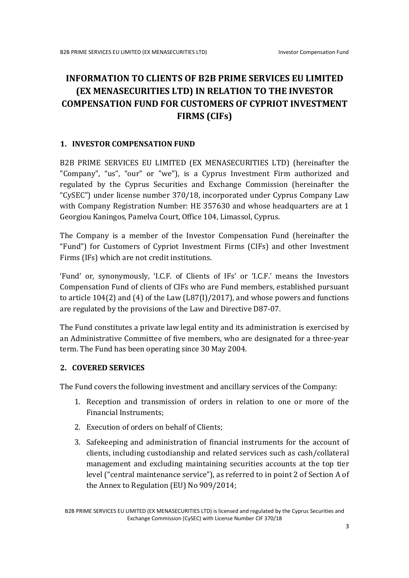### INFORMATION TO CLIENTS OF B2B PRIME SERVICES EU LIMITED (EX MENASECURITIES LTD) IN RELATION TO THE INVESTOR COMPENSATION FUND FOR CUSTOMERS OF CYPRIOT INVESTMENT FIRMS (CIFs)

#### 1. INVESTOR COMPENSATION FUND

B2B PRIME SERVICES EU LIMITED (EX MENASECURITIES LTD) (hereinafter the "Company", "us", "our" or "we"), is a Cyprus Investment Firm authorized and regulated by the Cyprus Securities and Exchange Commission (hereinafter the "CySEC") under license number 370/18, incorporated under Cyprus Company Law with Company Registration Number: HE 357630 and whose headquarters are at 1 Georgiou Kaningos, Pamelva Court, Office 104, Limassol, Cyprus.

The Company is a member of the Investor Compensation Fund (hereinafter the "Fund") for Customers of Cypriot Investment Firms (CIFs) and other Investment Firms (IFs) which are not credit institutions.

'Fund' or, synonymously, 'I.C.F. of Clients of IFs' or 'I.C.F.' means the Investors Compensation Fund of clients of CIFs who are Fund members, established pursuant to article 104(2) and (4) of the Law (L87(I)/2017), and whose powers and functions are regulated by the provisions of the Law and Directive D87-07.

The Fund constitutes a private law legal entity and its administration is exercised by an Administrative Committee of five members, who are designated for a three-year term. The Fund has been operating since 30 May 2004.

#### 2. COVERED SERVICES

The Fund covers the following investment and ancillary services of the Company:

- 1. Reception and transmission of orders in relation to one or more of the Financial Instruments;
- 2. Execution of orders on behalf of Clients;
- 3. Safekeeping and administration of financial instruments for the account of clients, including custodianship and related services such as cash/collateral management and excluding maintaining securities accounts at the top tier level ("central maintenance service"), as referred to in point 2 of Section A of the Annex to Regulation (EU) No 909/2014;

B2B PRIME SERVICES EU LIMITED (EX MENASECURITIES LTD) is licensed and regulated by the Cyprus Securities and Exchange Commission (CySEC) with License Number CIF 370/18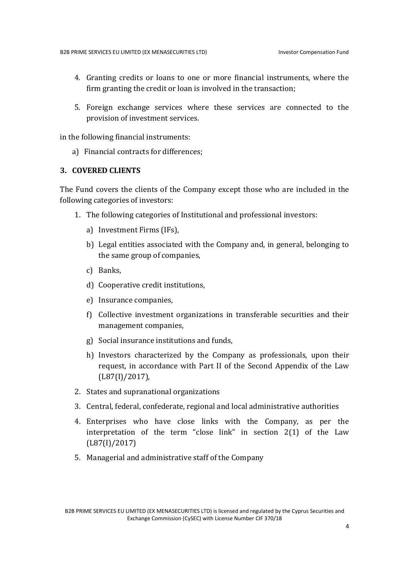- 4. Granting credits or loans to one or more financial instruments, where the firm granting the credit or loan is involved in the transaction;
- 5. Foreign exchange services where these services are connected to the provision of investment services.

in the following financial instruments:

a) Financial contracts for differences;

#### 3. COVERED CLIENTS

The Fund covers the clients of the Company except those who are included in the following categories of investors:

- 1. The following categories of Institutional and professional investors:
	- a) Investment Firms (IFs),
	- b) Legal entities associated with the Company and, in general, belonging to the same group of companies,
	- c) Banks,
	- d) Cooperative credit institutions,
	- e) Insurance companies,
	- f) Collective investment organizations in transferable securities and their management companies,
	- g) Social insurance institutions and funds,
	- h) Investors characterized by the Company as professionals, upon their request, in accordance with Part II of the Second Appendix of the Law (L87(I)/2017),
- 2. States and supranational organizations
- 3. Central, federal, confederate, regional and local administrative authorities
- 4. Enterprises who have close links with the Company, as per the interpretation of the term "close link" in section 2(1) of the Law (L87(I)/2017)
- 5. Managerial and administrative staff of the Company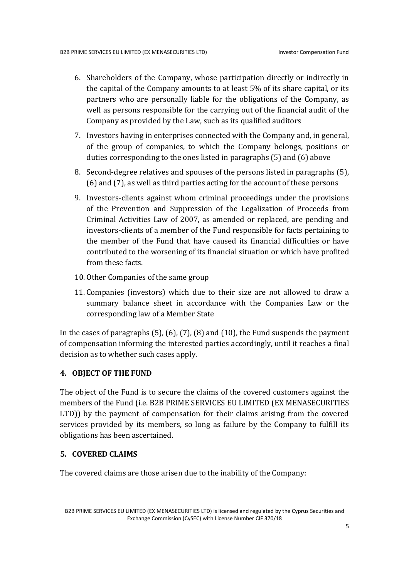- 6. Shareholders of the Company, whose participation directly or indirectly in the capital of the Company amounts to at least 5% of its share capital, or its partners who are personally liable for the obligations of the Company, as well as persons responsible for the carrying out of the financial audit of the Company as provided by the Law, such as its qualified auditors
- 7. Investors having in enterprises connected with the Company and, in general, of the group of companies, to which the Company belongs, positions or duties corresponding to the ones listed in paragraphs (5) and (6) above
- 8. Second-degree relatives and spouses of the persons listed in paragraphs (5), (6) and (7), as well as third parties acting for the account of these persons
- 9. Investors-clients against whom criminal proceedings under the provisions of the Prevention and Suppression of the Legalization of Proceeds from Criminal Activities Law of 2007, as amended or replaced, are pending and investors-clients of a member of the Fund responsible for facts pertaining to the member of the Fund that have caused its financial difficulties or have contributed to the worsening of its financial situation or which have profited from these facts.
- 10. Other Companies of the same group
- 11. Companies (investors) which due to their size are not allowed to draw a summary balance sheet in accordance with the Companies Law or the corresponding law of a Member State

In the cases of paragraphs (5), (6), (7), (8) and (10), the Fund suspends the payment of compensation informing the interested parties accordingly, until it reaches a final decision as to whether such cases apply.

#### 4. OBJECT OF THE FUND

The object of the Fund is to secure the claims of the covered customers against the members of the Fund (i.e. B2B PRIME SERVICES EU LIMITED (EX MENASECURITIES LTD)) by the payment of compensation for their claims arising from the covered services provided by its members, so long as failure by the Company to fulfill its obligations has been ascertained.

#### 5. COVERED CLAIMS

The covered claims are those arisen due to the inability of the Company:

B2B PRIME SERVICES EU LIMITED (EX MENASECURITIES LTD) is licensed and regulated by the Cyprus Securities and Exchange Commission (CySEC) with License Number CIF 370/18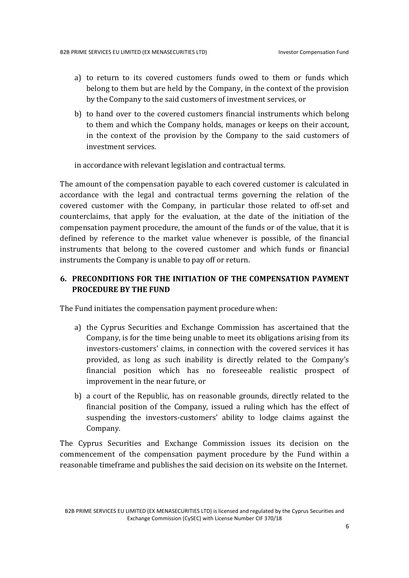- a) to return to its covered customers funds owed to them or funds which belong to them but are held by the Company, in the context of the provision by the Company to the said customers of investment services, or
- b) to hand over to the covered customers financial instruments which belong to them and which the Company holds, manages or keeps on their account, in the context of the provision by the Company to the said customers of investment services.

in accordance with relevant legislation and contractual terms.

The amount of the compensation payable to each covered customer is calculated in accordance with the legal and contractual terms governing the relation of the covered customer with the Company, in particular those related to off-set and counterclaims, that apply for the evaluation, at the date of the initiation of the compensation payment procedure, the amount of the funds or of the value, that it is defined by reference to the market value whenever is possible, of the financial instruments that belong to the covered customer and which funds or financial instruments the Company is unable to pay off or return.

#### 6. PRECONDITIONS FOR THE INITIATION OF THE COMPENSATION PAYMENT PROCEDURE BY THE FUND

The Fund initiates the compensation payment procedure when:

- a) the Cyprus Securities and Exchange Commission has ascertained that the Company, is for the time being unable to meet its obligations arising from its investors-customers' claims, in connection with the covered services it has provided, as long as such inability is directly related to the Company's financial position which has no foreseeable realistic prospect of improvement in the near future, or
- b) a court of the Republic, has on reasonable grounds, directly related to the financial position of the Company, issued a ruling which has the effect of suspending the investors-customers' ability to lodge claims against the Company.

The Cyprus Securities and Exchange Commission issues its decision on the commencement of the compensation payment procedure by the Fund within a reasonable timeframe and publishes the said decision on its website on the Internet.

B2B PRIME SERVICES EU LIMITED (EX MENASECURITIES LTD) is licensed and regulated by the Cyprus Securities and Exchange Commission (CySEC) with License Number CIF 370/18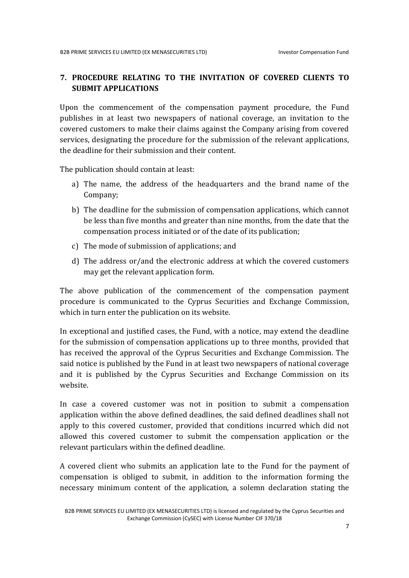#### 7. PROCEDURE RELATING TO THE INVITATION OF COVERED CLIENTS TO SUBMIT APPLICATIONS

Upon the commencement of the compensation payment procedure, the Fund publishes in at least two newspapers of national coverage, an invitation to the covered customers to make their claims against the Company arising from covered services, designating the procedure for the submission of the relevant applications, the deadline for their submission and their content.

The publication should contain at least:

- a) The name, the address of the headquarters and the brand name of the Company;
- b) The deadline for the submission of compensation applications, which cannot be less than five months and greater than nine months, from the date that the compensation process initiated or of the date of its publication;
- c) The mode of submission of applications; and
- d) The address or/and the electronic address at which the covered customers may get the relevant application form.

The above publication of the commencement of the compensation payment procedure is communicated to the Cyprus Securities and Exchange Commission, which in turn enter the publication on its website.

In exceptional and justified cases, the Fund, with a notice, may extend the deadline for the submission of compensation applications up to three months, provided that has received the approval of the Cyprus Securities and Exchange Commission. The said notice is published by the Fund in at least two newspapers of national coverage and it is published by the Cyprus Securities and Exchange Commission on its website.

In case a covered customer was not in position to submit a compensation application within the above defined deadlines, the said defined deadlines shall not apply to this covered customer, provided that conditions incurred which did not allowed this covered customer to submit the compensation application or the relevant particulars within the defined deadline.

A covered client who submits an application late to the Fund for the payment of compensation is obliged to submit, in addition to the information forming the necessary minimum content of the application, a solemn declaration stating the

B2B PRIME SERVICES EU LIMITED (EX MENASECURITIES LTD) is licensed and regulated by the Cyprus Securities and Exchange Commission (CySEC) with License Number CIF 370/18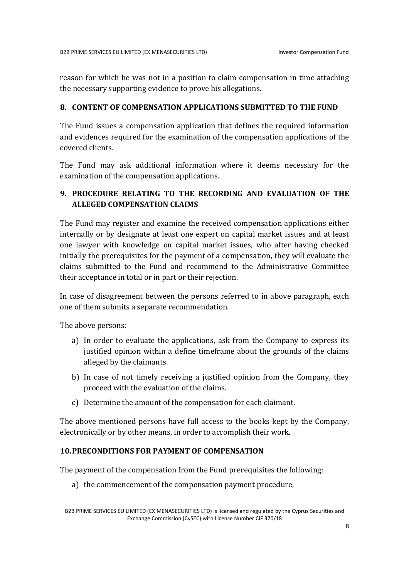reason for which he was not in a position to claim compensation in time attaching the necessary supporting evidence to prove his allegations.

#### 8. CONTENT OF COMPENSATION APPLICATIONS SUBMITTED TO THE FUND

The Fund issues a compensation application that defines the required information and evidences required for the examination of the compensation applications of the covered clients.

The Fund may ask additional information where it deems necessary for the examination of the compensation applications.

#### 9. PROCEDURE RELATING TO THE RECORDING AND EVALUATION OF THE ALLEGED COMPENSATION CLAIMS

The Fund may register and examine the received compensation applications either internally or by designate at least one expert on capital market issues and at least one lawyer with knowledge on capital market issues, who after having checked initially the prerequisites for the payment of a compensation, they will evaluate the claims submitted to the Fund and recommend to the Administrative Committee their acceptance in total or in part or their rejection.

In case of disagreement between the persons referred to in above paragraph, each one of them submits a separate recommendation.

The above persons:

- a) In order to evaluate the applications, ask from the Company to express its justified opinion within a define timeframe about the grounds of the claims alleged by the claimants.
- b) In case of not timely receiving a justified opinion from the Company, they proceed with the evaluation of the claims.
- c) Determine the amount of the compensation for each claimant.

The above mentioned persons have full access to the books kept by the Company, electronically or by other means, in order to accomplish their work.

#### 10.PRECONDITIONS FOR PAYMENT OF COMPENSATION

The payment of the compensation from the Fund prerequisites the following:

a) the commencement of the compensation payment procedure,

B2B PRIME SERVICES EU LIMITED (EX MENASECURITIES LTD) is licensed and regulated by the Cyprus Securities and Exchange Commission (CySEC) with License Number CIF 370/18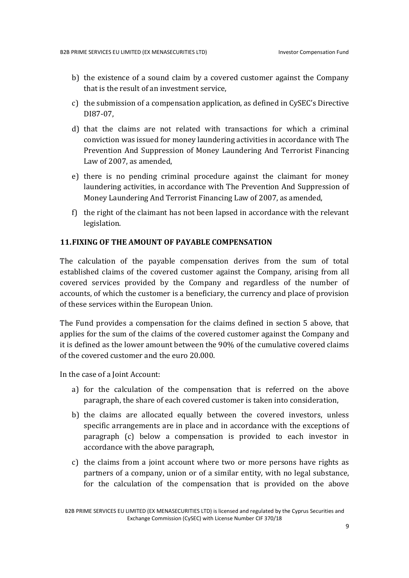- b) the existence of a sound claim by a covered customer against the Company that is the result of an investment service,
- c) the submission of a compensation application, as defined in CySEC's Directive DI87-07,
- d) that the claims are not related with transactions for which a criminal conviction was issued for money laundering activities in accordance with The Prevention And Suppression of Money Laundering And Terrorist Financing Law of 2007, as amended,
- e) there is no pending criminal procedure against the claimant for money laundering activities, in accordance with The Prevention And Suppression of Money Laundering And Terrorist Financing Law of 2007, as amended,
- f) the right of the claimant has not been lapsed in accordance with the relevant legislation.

#### 11.FIXING OF THE AMOUNT OF PAYABLE COMPENSATION

The calculation of the payable compensation derives from the sum of total established claims of the covered customer against the Company, arising from all covered services provided by the Company and regardless of the number of accounts, of which the customer is a beneficiary, the currency and place of provision of these services within the European Union.

The Fund provides a compensation for the claims defined in section 5 above, that applies for the sum of the claims of the covered customer against the Company and it is defined as the lower amount between the 90% of the cumulative covered claims of the covered customer and the euro 20.000.

In the case of a Joint Account:

- a) for the calculation of the compensation that is referred on the above paragraph, the share of each covered customer is taken into consideration,
- b) the claims are allocated equally between the covered investors, unless specific arrangements are in place and in accordance with the exceptions of paragraph (c) below a compensation is provided to each investor in accordance with the above paragraph,
- c) the claims from a joint account where two or more persons have rights as partners of a company, union or of a similar entity, with no legal substance, for the calculation of the compensation that is provided on the above

B2B PRIME SERVICES EU LIMITED (EX MENASECURITIES LTD) is licensed and regulated by the Cyprus Securities and Exchange Commission (CySEC) with License Number CIF 370/18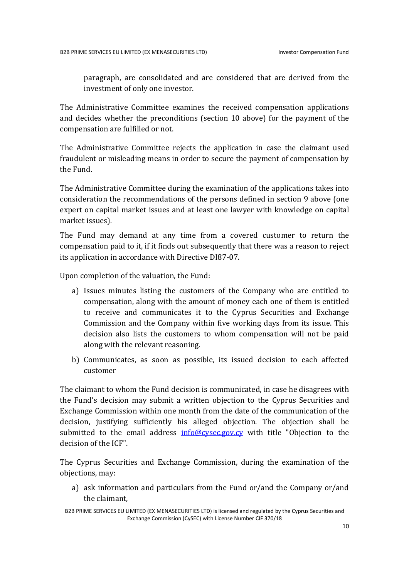paragraph, are consolidated and are considered that are derived from the investment of only one investor.

The Administrative Committee examines the received compensation applications and decides whether the preconditions (section 10 above) for the payment of the compensation are fulfilled or not.

The Administrative Committee rejects the application in case the claimant used fraudulent or misleading means in order to secure the payment of compensation by the Fund.

The Administrative Committee during the examination of the applications takes into consideration the recommendations of the persons defined in section 9 above (one expert on capital market issues and at least one lawyer with knowledge on capital market issues).

The Fund may demand at any time from a covered customer to return the compensation paid to it, if it finds out subsequently that there was a reason to reject its application in accordance with Directive DI87-07.

Upon completion of the valuation, the Fund:

- a) Issues minutes listing the customers of the Company who are entitled to compensation, along with the amount of money each one of them is entitled to receive and communicates it to the Cyprus Securities and Exchange Commission and the Company within five working days from its issue. This decision also lists the customers to whom compensation will not be paid along with the relevant reasoning.
- b) Communicates, as soon as possible, its issued decision to each affected customer

The claimant to whom the Fund decision is communicated, in case he disagrees with the Fund's decision may submit a written objection to the Cyprus Securities and Exchange Commission within one month from the date of the communication of the decision, justifying sufficiently his alleged objection. The objection shall be submitted to the email address info@cysec.gov.cy with title "Objection to the decision of the ICF".

The Cyprus Securities and Exchange Commission, during the examination of the objections, may:

a) ask information and particulars from the Fund or/and the Company or/and the claimant,

B2B PRIME SERVICES EU LIMITED (EX MENASECURITIES LTD) is licensed and regulated by the Cyprus Securities and Exchange Commission (CySEC) with License Number CIF 370/18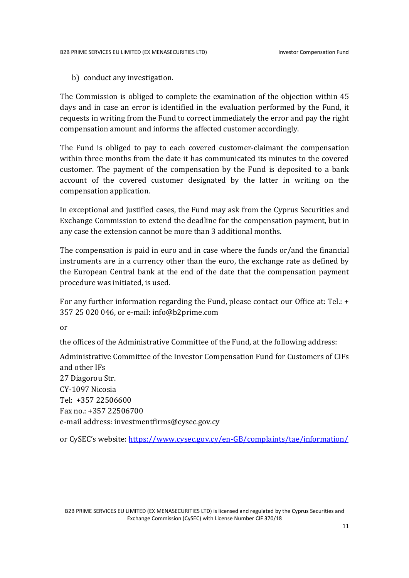b) conduct any investigation.

The Commission is obliged to complete the examination of the objection within 45 days and in case an error is identified in the evaluation performed by the Fund, it requests in writing from the Fund to correct immediately the error and pay the right compensation amount and informs the affected customer accordingly.

The Fund is obliged to pay to each covered customer-claimant the compensation within three months from the date it has communicated its minutes to the covered customer. The payment of the compensation by the Fund is deposited to a bank account of the covered customer designated by the latter in writing on the compensation application.

In exceptional and justified cases, the Fund may ask from the Cyprus Securities and Exchange Commission to extend the deadline for the compensation payment, but in any case the extension cannot be more than 3 additional months.

The compensation is paid in euro and in case where the funds or/and the financial instruments are in a currency other than the euro, the exchange rate as defined by the European Central bank at the end of the date that the compensation payment procedure was initiated, is used.

For any further information regarding the Fund, please contact our Office at: Tel.: + 357 25 020 046, or e-mail: info@b2prime.com

or

the offices of the Administrative Committee of the Fund, at the following address:

Administrative Committee of the Investor Compensation Fund for Customers of CIFs and other IFs 27 Diagorou Str. CY-1097 Nicosia Tel: +357 22506600 Fax no.: +357 22506700 e-mail address: investmentfirms@cysec.gov.cy

or CySEC's website: https://www.cysec.gov.cy/en-GB/complaints/tae/information/